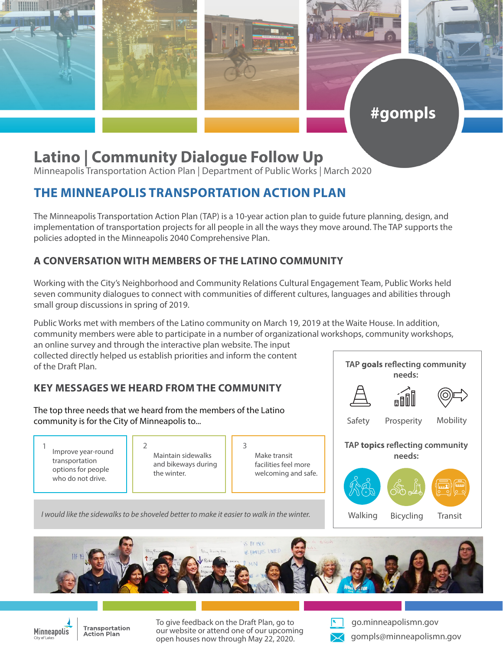

## **Latino | Community Dialogue Follow Up**

Minneapolis Transportation Action Plan | Department of Public Works | March 2020

## **THE MINNEAPOLIS TRANSPORTATION ACTION PLAN**

The Minneapolis Transportation Action Plan (TAP) is a 10-year action plan to guide future planning, design, and implementation of transportation projects for all people in all the ways they move around. The TAP supports the policies adopted in the Minneapolis 2040 Comprehensive Plan.

## **A CONVERSATION WITH MEMBERS OF THE LATINO COMMUNITY**

Working with the City's Neighborhood and Community Relations Cultural Engagement Team, Public Works held seven community dialogues to connect with communities of different cultures, languages and abilities through small group discussions in spring of 2019.

Public Works met with members of the Latino community on March 19, 2019 at the Waite House. In addition, community members were able to participate in a number of organizational workshops, community workshops,

an online survey and through the interactive plan website. The input collected directly helped us establish priorities and inform the content of the Draft Plan.

## **KEY MESSAGES WE HEARD FROM THE COMMUNITY**

The top three needs that we heard from the members of the Latino community is for the City of Minneapolis to...

1 Improve year-round 2 Maintain cidewalks 3 transportation options for people who do not drive.

Maintain sidewalks and bikeways during the winter.

*I would like the sidewalks to be shoveled better to make it easier to walk in the winter.*

Make transit facilities feel more welcoming and safe.

**TAP goals reflecting community needs: TAP topics reflecting community needs:** Walking Bicycling Transit Safety Prosperity Mobility

#gompls

S HEINC FAMILIES UNTED



**Transportation Action Plan** 

To give feedback on the Draft Plan, go to our website or attend one of our upcoming open houses now through May 22, 2020.



go.minneapolismn.gov gompls@minneapolismn.gov